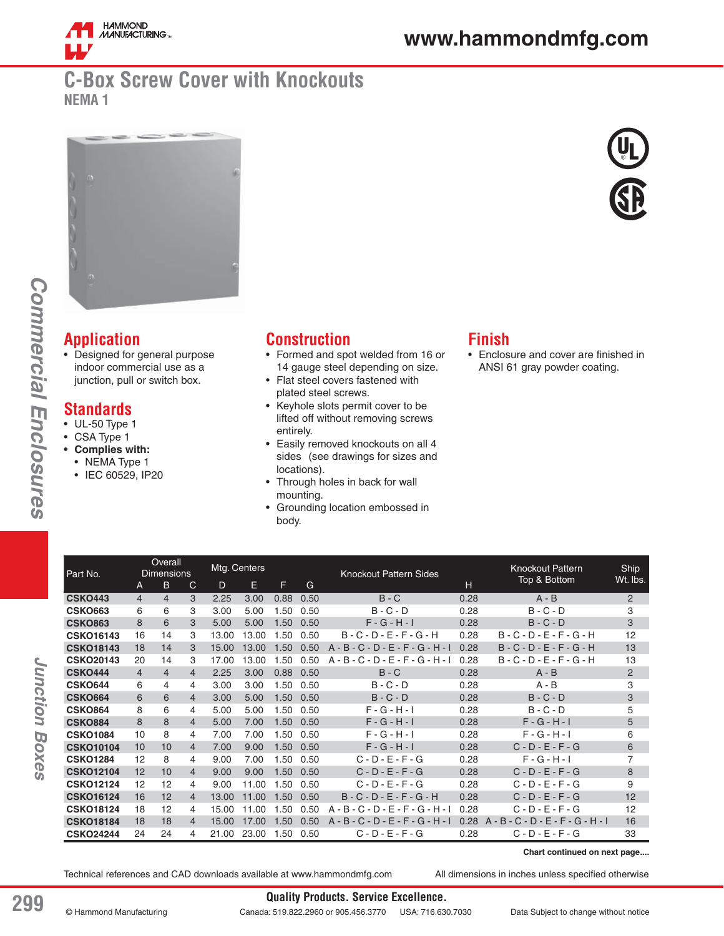

# **www.hammondmfg.com**

## **C-Box Screw Cover with Knockouts NEMA 1**





# **Application**

• Designed for general purpose indoor commercial use as a junction, pull or switch box.

#### **Standards**

- UL-50 Type 1
- CSA Type 1
- **Complies with:**
- NEMA Type 1
	- IEC 60529, IP20

## **Construction**

- Formed and spot welded from 16 or 14 gauge steel depending on size.
- Flat steel covers fastened with plated steel screws.
- Keyhole slots permit cover to be lifted off without removing screws entirely.
- Easily removed knockouts on all 4 sides (see drawings for sizes and locations).
- Through holes in back for wall mounting.
- Grounding location embossed in body.

### **Finish**

• Enclosure and cover are finished in ANSI 61 gray powder coating.

| Part No.         | Overall<br><b>Dimensions</b> |                |                | Mtg. Centers |       |      | <b>Knockout Pattern Sides</b> |                                     |      | <b>Knockout Pattern</b><br>Top & Bottom | Ship<br>Wt. lbs. |
|------------------|------------------------------|----------------|----------------|--------------|-------|------|-------------------------------|-------------------------------------|------|-----------------------------------------|------------------|
|                  | A                            | B.             | C              | D            | Е     | F    | G                             | н                                   |      |                                         |                  |
| <b>CSKO443</b>   | $\overline{4}$               | $\overline{4}$ | 3              | 2.25         | 3.00  | 0.88 | 0.50                          | $B - C$                             | 0.28 | $A - B$                                 | 2                |
| <b>CSKO663</b>   | 6                            | 6              | 3              | 3.00         | 5.00  | 1.50 | 0.50                          | $B - C - D$                         | 0.28 | $B - C - D$                             | 3                |
| <b>CSKO863</b>   | 8                            | 6              | 3              | 5.00         | 5.00  | 1.50 | 0.50                          | $F - G - H - I$                     | 0.28 | $B - C - D$                             | 3                |
| <b>CSKO16143</b> | 16                           | 14             | 3              | 13.00        | 13.00 | 1.50 | 0.50                          | $B - C - D - E - F - G - H$         | 0.28 | $B - C - D - E - F - G - H$             | 12               |
| <b>CSKO18143</b> | 18                           | 14             | 3              | 15.00        | 13.00 | 1.50 | 0.50                          | $A - B - C - D - E - F - G - H - I$ | 0.28 | $B - C - D - E - F - G - H$             | 13               |
| <b>CSKO20143</b> | 20                           | 14             | З              | 17.00        | 13.00 | 1.50 | 0.50                          | $A - B - C - D - E - F - G - H - I$ | 0.28 | $B - C - D - E - F - G - H$             | 13               |
| <b>CSKO444</b>   | $\overline{4}$               | $\overline{4}$ | 4              | 2.25         | 3.00  | 0.88 | 0.50                          | $B - C$                             | 0.28 | $A - B$                                 | 2                |
| <b>CSKO644</b>   | 6                            | 4              | 4              | 3.00         | 3.00  | 1.50 | 0.50                          | $B - C - D$                         | 0.28 | $A - B$                                 | 3                |
| <b>CSKO664</b>   | 6                            | 6              | $\overline{4}$ | 3.00         | 5.00  | 1.50 | 0.50                          | $B - C - D$                         | 0.28 | $B - C - D$                             | 3                |
| <b>CSKO864</b>   | 8                            | 6              | 4              | 5.00         | 5.00  | 1.50 | 0.50                          | $F - G - H - I$                     | 0.28 | $B - C - D$                             | 5                |
| <b>CSKO884</b>   | 8                            | 8              | $\overline{4}$ | 5.00         | 7.00  | 1.50 | 0.50                          | $F - G - H - I$                     | 0.28 | $F - G - H - I$                         | 5                |
| <b>CSKO1084</b>  | 10                           | 8              | 4              | 7.00         | 7.00  | 1.50 | 0.50                          | $F - G - H - I$                     | 0.28 | $F - G - H - I$                         | 6                |
| <b>CSKO10104</b> | 10                           | 10             | $\overline{4}$ | 7.00         | 9.00  | 1.50 | 0.50                          | $F - G - H - I$                     | 0.28 | $C - D - E - F - G$                     | 6                |
| <b>CSKO1284</b>  | 12                           | 8              | 4              | 9.00         | 7.00  | 1.50 | 0.50                          | $C - D - E - F - G$                 | 0.28 | $F - G - H - I$                         | $\overline{7}$   |
| <b>CSKO12104</b> | 12                           | 10             | 4              | 9.00         | 9.00  | 1.50 | 0.50                          | $C - D - E - F - G$                 | 0.28 | $C - D - E - F - G$                     | 8                |
| <b>CSKO12124</b> | 12                           | 12             | 4              | 9.00         | 11.00 | 1.50 | 0.50                          | $C - D - E - F - G$                 | 0.28 | $C - D - E - F - G$                     | 9                |
| <b>CSKO16124</b> | 16                           | 12             | $\overline{4}$ | 13.00        | 11.00 | 1.50 | 0.50                          | $B - C - D - E - F - G - H$         | 0.28 | $C - D - E - F - G$                     | 12               |
| <b>CSKO18124</b> | 18                           | 12             | 4              | 15.00        | 11.00 | 1.50 | 0.50                          | $-B-C-D-E-F-G-H-I$<br>A             | 0.28 | $C - D - E - F - G$                     | 12               |
| <b>CSKO18184</b> | 18                           | 18             | 4              | 15.00        | 17.00 | 1.50 | 0.50                          | $A - B - C - D - E - F - G - H - I$ | 0.28 | $A - B - C - D - E - F - G - H - I$     | 16               |
| <b>CSKO24244</b> | 24                           | 24             | 4              | 21.00        | 23.00 | 1.50 | 0.50                          | $C - D - E - F - G$                 | 0.28 | $C - D - E - F - G$                     | 33               |

**Chart continued on next page....**

Technical references and CAD downloads available at www.hammondmfg.com All dimensions in inches unless specified otherwise

*Commercial Enclosures*

Commercial Enclosures